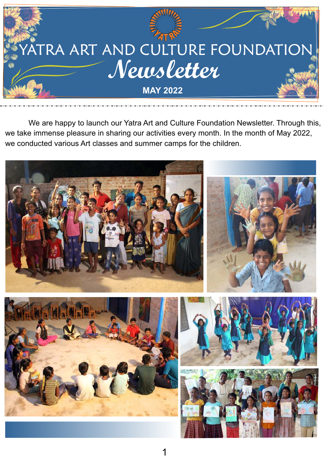

 We are happy to launch our Yatra Art and Culture Foundation Newsletter. Through this, we take immense pleasure in sharing our activities every month. In the month of May 2022, we conducted various Art classes and summer camps for the children.

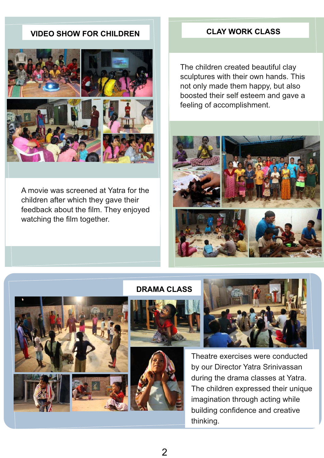# **VIDEO SHOW FOR CHILDREN CLAY WORK CLASS**



A movie was screened at Yatra for the children after which they gave their feedback about the film. They enjoyed watching the film together.

The children created beautiful clay sculptures with their own hands. This not only made them happy, but also boosted their self esteem and gave a feeling of accomplishment.













Theatre exercises were conducted by our Director Yatra Srinivassan during the drama classes at Yatra. The children expressed their unique imagination through acting while building confidence and creative thinking.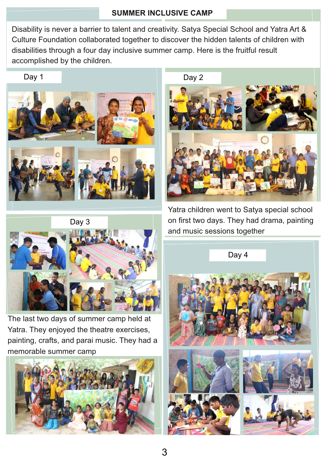## **SUMMER INCLUSIVE CAMP**

Disability is never a barrier to talent and creativity. Satya Special School and Yatra Art & Culture Foundation collaborated together to discover the hidden talents of children with disabilities through a four day inclusive summer camp. Here is the fruitful result accomplished by the children.







The last two days of summer camp held at Yatra. They enjoyed the theatre exercises, painting, crafts, and parai music. They had a memorable summer camp



Yatra children went to Satya special school on first two days. They had drama, painting

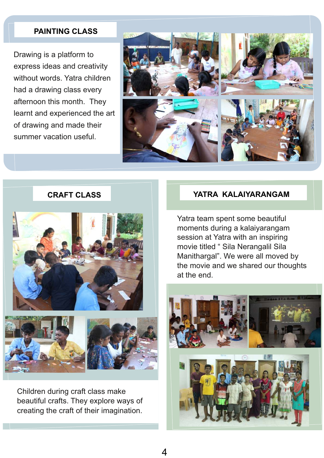## **PAINTING CLASS**

Drawing is a platform to express ideas and creativity without words. Yatra children had a drawing class every afternoon this month. They learnt and experienced the art of drawing and made their summer vacation useful.



## **CRAFT CLASS**





Children during craft class make beautiful crafts. They explore ways of creating the craft of their imagination.

### **YATRA KALAIYARANGAM**

Yatra team spent some beautiful moments during a kalaiyarangam session at Yatra with an inspiring movie titled " Sila Nerangalil Sila Manithargal". We were all moved by the movie and we shared our thoughts at the end.